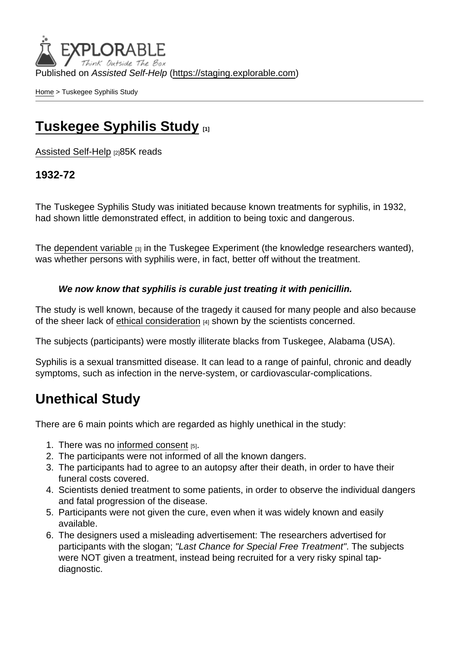Published on Assisted Self-Help [\(https://staging.explorable.com](https://staging.explorable.com))

[Home](https://staging.explorable.com/en) > Tuskegee Syphilis Study

## [Tuskegee Syphilis Study](https://staging.explorable.com/en/tuskegee-syphilis-study) [1]

[Assisted Self-Help](https://staging.explorable.com/en) [2]85K reads

1932-72

The Tuskegee Syphilis Study was initiated because known treatments for syphilis, in 1932, had shown little demonstrated effect, in addition to being toxic and dangerous.

The [dependent variable](https://staging.explorable.com/dependent-variable)  $[3]$  in the Tuskegee Experiment (the knowledge researchers wanted), was whether persons with syphilis were, in fact, better off without the treatment.

We now know that syphilis is curable just treating it with penicillin.

The study is well known, because of the tragedy it caused for many people and also because of the sheer lack of [ethical consideration](https://staging.explorable.com/ethics-in-research) [4] shown by the scientists concerned.

The subjects (participants) were mostly illiterate blacks from Tuskegee, Alabama (USA).

Syphilis is a sexual transmitted disease. It can lead to a range of painful, chronic and deadly symptoms, such as infection in the nerve-system, or cardiovascular-complications.

## Unethical Study

There are 6 main points which are regarded as highly unethical in the study:

- 1. There was no [informed consent](https://staging.explorable.com/informed-consent-policy)  $[5]$ .
- 2. The participants were not informed of all the known dangers.
- 3. The participants had to agree to an autopsy after their death, in order to have their funeral costs covered.
- 4. Scientists denied treatment to some patients, in order to observe the individual dangers and fatal progression of the disease.
- 5. Participants were not given the cure, even when it was widely known and easily available.
- 6. The designers used a misleading advertisement: The researchers advertised for participants with the slogan; "Last Chance for Special Free Treatment". The subjects were NOT given a treatment, instead being recruited for a very risky spinal tapdiagnostic.